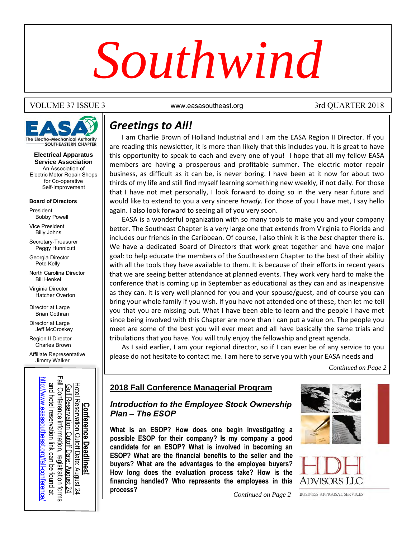# *Southwind*

#### VOLUME 37 ISSUE 3 Www.easasoutheast.org 3rd QUARTER 2018



**Electrical Apparatus Service Association** An Association of Electric Motor Repair Shops for Co-operative Self-Improvement

#### **Board of Directors**

President Bobby Powell

Vice President Billy Johns

Secretary-Treasurer Peggy Hunnicutt

Georgia Director Pete Kelly

North Carolina Director Bill Henkel

Virginia Director Hatcher Overton

Director at Large Brian Cothran

Director at Large Jeff McCroskey

Region II Director Charles Brown

Affiliate Representative Jimmy Walker



# *Greetings to All!*

I am Charlie Brown of Holland Industrial and I am the EASA Region II Director. If you are reading this newsletter, it is more than likely that this includes you. It is great to have this opportunity to speak to each and every one of you! I hope that all my fellow EASA members are having a prosperous and profitable summer. The electric motor repair business, as difficult as it can be, is never boring. I have been at it now for about two thirds of my life and still find myself learning something new weekly, if not daily. For those that I have not met personally, I look forward to doing so in the very near future and would like to extend to you a very sincere *howdy*. For those of you I have met, I say hello again. I also look forward to seeing all of you very soon.

EASA is a wonderful organization with so many tools to make you and your company better. The Southeast Chapter is a very large one that extends from Virginia to Florida and includes our friends in the Caribbean. Of course, I also think it is the *best* chapter there is. We have a dedicated Board of Directors that work great together and have one major goal: to help educate the members of the Southeastern Chapter to the best of their ability with all the tools they have available to them. It is because of their efforts in recent years that we are seeing better attendance at planned events. They work very hard to make the conference that is coming up in September as educational as they can and as inexpensive as they can. It is very well planned for you and your spouse/guest, and of course you can bring your whole family if you wish. If you have not attended one of these, then let me tell you that you are missing out. What I have been able to learn and the people I have met since being involved with this Chapter are more than I can put a value on. The people you meet are some of the best you will ever meet and all have basically the same trials and tribulations that you have. You will truly enjoy the fellowship and great agenda.

As I said earlier, I am your regional director, so if I can ever be of any service to you please do not hesitate to contact me. I am here to serve you with your EASA needs and

*Continued on Page 2*

### *Introduction to the Employee Stock Ownership Plan – The ESOP*

**Proposition Conference Managerial Program**<br> **Example 2018 Fall Conference Managerial Program**<br> **Example 2018 Fall Conference Managerial Program**<br> **Plan – The ESOP**<br> **What is an ESOP**<br> **What is an ESOP**<br> **What is an ESOP**<br> **What is an ESOP? How does one begin investigating a possible ESOP for their company? Is my company a good candidate for an ESOP? What is involved in becoming an [ESOP](http://www.easasoutheast.org/fall-conference/)? What are the financial benefits to the seller and the buyers? What are the advantages to the employee buyers? How long does the evaluation process take? How is the financing handled? Who represents the employees in this process?** 





*Continued on Page 2*

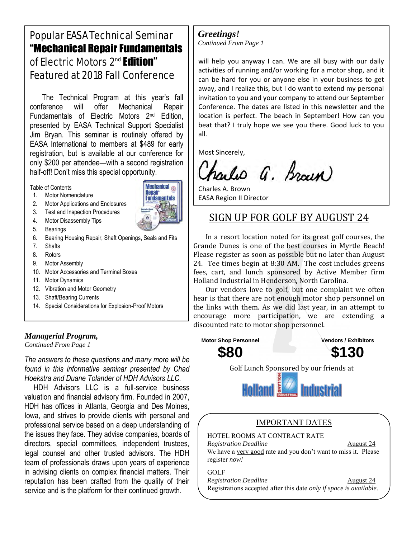# Popular EASA Technical Seminar "Mechanical Repair Fundamentals of Electric Motors 2<sup>nd</sup> Edition" Featured at 2018 Fall Conference

The Technical Program at this year's fall conference will offer Mechanical Repair Fundamentals of Electric Motors 2nd Edition, presented by EASA Technical Support Specialist Jim Bryan. This seminar is routinely offered by EASA International to members at \$489 for early registration, but is available at our conference for only \$200 per attendee—with a second registration half-off! Don't miss this special opportunity.

#### Table of Contents

- 1. Motor Nomenclature
- 2. Motor Applications and Enclosures
- 3. Test and Inspection Procedures
- 4. Motor Disassembly Tips
- 5. Bearings
- 6. Bearing Housing Repair, Shaft Openings, Seals and Fits
- 7. Shafts
- 8. Rotors
- 9. Motor Assembly
- 10. Motor Accessories and Terminal Boxes
- 11. Motor Dynamics
- 12. Vibration and Motor Geometry
- 13. Shaft/Bearing Currents
- 14. Special Considerations for Explosion-Proof Motors

#### *Managerial Program,*

*Continued From Page 1*

*The answers to these questions and many more will be found in this informative seminar presented by Chad Hoekstra and Duane Tolander of HDH Advisors LLC.* 

HDH Advisors LLC is a full-service business valuation and financial advisory firm. Founded in 2007, HDH has offices in Atlanta, Georgia and Des Moines, Iowa, and strives to provide clients with personal and professional service based on a deep understanding of the issues they face. They advise companies, boards of directors, special committees, independent trustees, legal counsel and other trusted advisors. The HDH team of professionals draws upon years of experience in advising clients on complex financial matters. Their reputation has been crafted from the quality of their service and is the platform for their continued growth.

#### *Greetings! Continued From Page 1*

will help you anyway I can. We are all busy with our daily activities of running and/or working for a motor shop, and it can be hard for you or anyone else in your business to get away, and I realize this, but I do want to extend my personal invitation to you and your company to attend our September Conference. The dates are listed in this newsletter and the location is perfect. The beach in September! How can you beat that? I truly hope we see you there. Good luck to you all.

Most Sincerely,

252-492-7541

arles G. Braun)

Charles A. Brown EASA Region II Director

## [SIGN UP FOR GOLF](mailto:charlieb@hollandindustrial.com) BY AUGUST 24

In a resort location noted for its great golf courses, the Grande Dunes is one of the best courses in Myrtle Beach! Please register as soon as possible but no later than August 24. Tee times begin at 8:30 AM. The cost includes greens fees, cart, and lunch sponsored by Active Member firm Holland Industrial in Henderson, North Carolina.

Our vendors love to golf, but one complaint we often hear is that there are not enough motor shop personnel on the links with them. As we did last year, in an attempt to encourage more participation, we are extending a discounted rate to motor shop personnel.



*Registration Deadline* August 24 We have a very good rate and you don't want to miss it. Please register *now!*

GOLF *Registration Deadline* August 24

Registrations accepted after this date *only if space is available.*

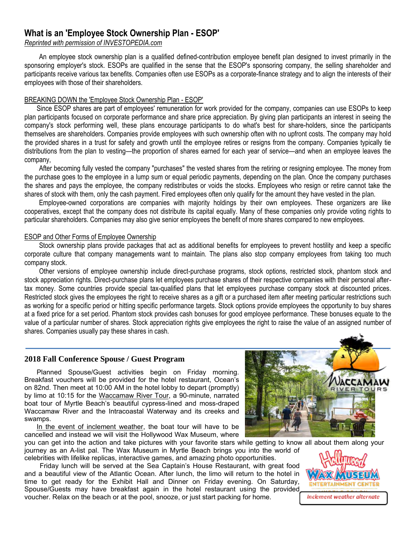## **What is an 'Employee Stock Ownership Plan - ESOP'**

#### *Reprinted with permission of INVESTOPEDIA.com*

An employee stock ownership plan is a qualified defined-contribution employee benefit plan designed to invest primarily in the sponsoring employer's stock. ESOPs are qualified in the sense that the ESOP's sponsoring company, the selling shareholder and participants receive various tax benefits. Companies often use ESOPs as a corporate-finance strategy and to align the interests of their employees with those of their shareholders.

#### BREAKING DOWN the 'Employee Stock Ownership Plan - ESOP'

Since ESOP shares are part of employees' remuneration for work provided for the company, companies can use ESOPs to keep plan participants focused on corporate performance and share price appreciation. By giving plan participants an interest in seeing the company's stock performing well, these plans encourage participants to do what's best for share-holders, since the participants themselves are shareholders. Companies provide employees with such ownership often with no upfront costs. The company may hold the provided shares in a trust for safety and growth until the employee retires or resigns from the company. Companies typically tie distributions from the plan to vesting—the proportion of shares earned for each year of service—and when an employee leaves the company,

After becoming fully vested the company "purchases" the vested shares from the retiring or resigning employee. The money from the purchase goes to the employee in a lump sum or equal periodic payments, depending on the plan. Once the company purchases the shares and pays the employee, the company redistributes or voids the stocks. Employees who resign or retire cannot take the shares of stock with them, only the cash payment. Fired employees often only qualify for the amount they have vested in the plan.

Employee-owned corporations are companies with majority holdings by their own employees. These organizers are like cooperatives, except that the company does not distribute its capital equally. Many of these companies only provide voting rights to particular shareholders. Companies may also give senior employees the benefit of more shares compared to new employees.

#### ESOP and Other Forms of Employee Ownership

Stock ownership plans provide packages that act as additional benefits for employees to prevent hostility and keep a specific corporate culture that company managements want to maintain. The plans also stop company employees from taking too much company stock.

Other versions of employee ownership include direct-purchase programs, stock options, restricted stock, phantom stock and stock appreciation rights. Direct-purchase plans let employees purchase shares of their respective companies with their personal aftertax money. Some countries provide special tax-qualified plans that let employees purchase company stock at discounted prices. Restricted stock gives the employees the right to receive shares as a gift or a purchased item after meeting particular restrictions such as working for a specific period or hitting specific performance targets. Stock options provide employees the opportunity to buy shares at a fixed price for a set period. Phantom stock provides cash bonuses for good employee performance. These bonuses equate to the value of a particular number of shares. Stock appreciation rights give employees the right to raise the value of an assigned number of shares. Companies usually pay these shares in cash.

#### **2018 Fall Conference Spouse / Guest Program**

Planned Spouse/Guest activities begin on Friday morning. Breakfast vouchers will be provided for the hotel restaurant, Ocean's on 82nd. Then meet at 10:00 AM in the hotel lobby to depart (promptly) by limo at 10:15 for the Waccamaw River Tour, a 90-minute, narrated boat tour of Myrtle Beach's beautiful cypress-lined and moss-draped Waccamaw River and the Intracoastal Waterway and its creeks and swamps.

In the event of inclement weather, the boat tour will have to be cancelled and instead we will visit the Hollywood Wax Museum, where

you can get into the action and take pictures with your favorite stars while getting to know all about them along your journey as an A-list pal. The Wax Museum in Myrtle Beach brings you into the world of celebrities with lifelike replicas, interactive games, and amazing photo opportunities.

Friday lunch will be served at the Sea Captain's House Restaurant, with great food and a beautiful view of the Atlantic Ocean. After lunch, the limo will return to the hotel in time to get ready for the Exhibit Hall and Dinner on Friday evening. On Saturday, Spouse/Guests may have breakfast again in the hotel restaurant using the provided voucher. Relax on the beach or at the pool, snooze, or just start packing for home.



ENTERTAINMENT CENTÉR

**Inclement weather alternate**